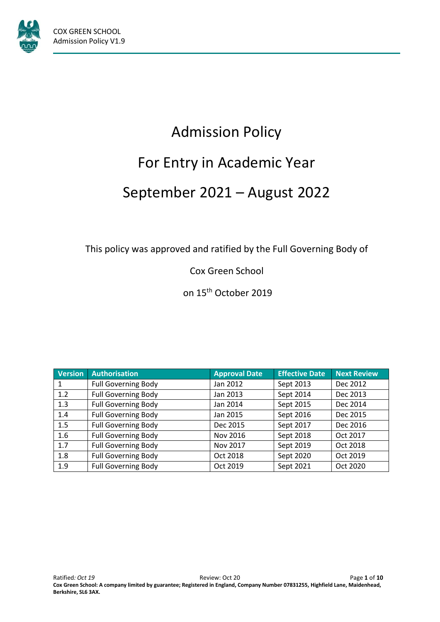

# Admission Policy For Entry in Academic Year September 2021 – August 2022

This policy was approved and ratified by the Full Governing Body of

Cox Green School

on 15<sup>th</sup> October 2019

| Version | <b>Authorisation</b>       | <b>Approval Date</b> | <b>Effective Date</b> | <b>Next Review</b> |
|---------|----------------------------|----------------------|-----------------------|--------------------|
|         | <b>Full Governing Body</b> | Jan 2012             | Sept 2013             | Dec 2012           |
| 1.2     | <b>Full Governing Body</b> | Jan 2013             | Sept 2014             | Dec 2013           |
| 1.3     | <b>Full Governing Body</b> | Jan 2014             | Sept 2015             | Dec 2014           |
| 1.4     | <b>Full Governing Body</b> | Jan 2015             | Sept 2016             | Dec 2015           |
| 1.5     | <b>Full Governing Body</b> | Dec 2015             | Sept 2017             | Dec 2016           |
| 1.6     | <b>Full Governing Body</b> | Nov 2016             | Sept 2018             | Oct 2017           |
| 1.7     | <b>Full Governing Body</b> | Nov 2017             | Sept 2019             | Oct 2018           |
| 1.8     | <b>Full Governing Body</b> | Oct 2018             | Sept 2020             | Oct 2019           |
| 1.9     | <b>Full Governing Body</b> | Oct 2019             | Sept 2021             | Oct 2020           |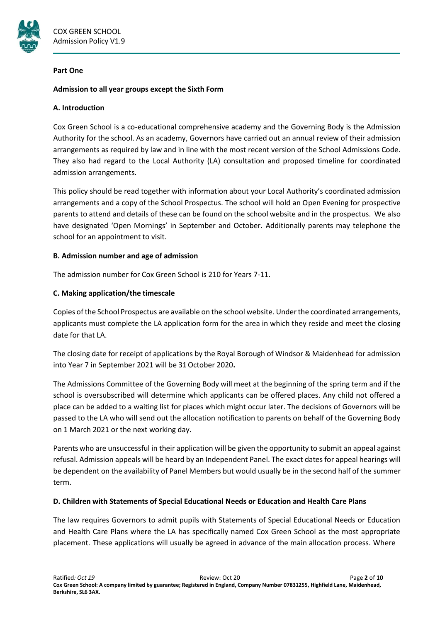

#### **Part One**

# **Admission to all year groups except the Sixth Form**

## **A. Introduction**

Cox Green School is a co-educational comprehensive academy and the Governing Body is the Admission Authority for the school. As an academy, Governors have carried out an annual review of their admission arrangements as required by law and in line with the most recent version of the School Admissions Code. They also had regard to the Local Authority (LA) consultation and proposed timeline for coordinated admission arrangements.

This policy should be read together with information about your Local Authority's coordinated admission arrangements and a copy of the School Prospectus. The school will hold an Open Evening for prospective parents to attend and details of these can be found on the school website and in the prospectus. We also have designated 'Open Mornings' in September and October. Additionally parents may telephone the school for an appointment to visit.

# **B. Admission number and age of admission**

The admission number for Cox Green School is 210 for Years 7-11.

# **C. Making application/the timescale**

Copies of the School Prospectus are available on the school website. Underthe coordinated arrangements, applicants must complete the LA application form for the area in which they reside and meet the closing date for that LA.

The closing date for receipt of applications by the Royal Borough of Windsor & Maidenhead for admission into Year 7 in September 2021 will be 31October 2020**.**

The Admissions Committee of the Governing Body will meet at the beginning of the spring term and if the school is oversubscribed will determine which applicants can be offered places. Any child not offered a place can be added to a waiting list for places which might occur later. The decisions of Governors will be passed to the LA who will send out the allocation notification to parents on behalf of the Governing Body on 1 March 2021 or the next working day.

Parents who are unsuccessful in their application will be given the opportunity to submit an appeal against refusal. Admission appeals will be heard by an Independent Panel. The exact dates for appeal hearings will be dependent on the availability of Panel Members but would usually be in the second half of the summer term.

#### **D. Children with Statements of Special Educational Needs or Education and Health Care Plans**

The law requires Governors to admit pupils with Statements of Special Educational Needs or Education and Health Care Plans where the LA has specifically named Cox Green School as the most appropriate placement. These applications will usually be agreed in advance of the main allocation process. Where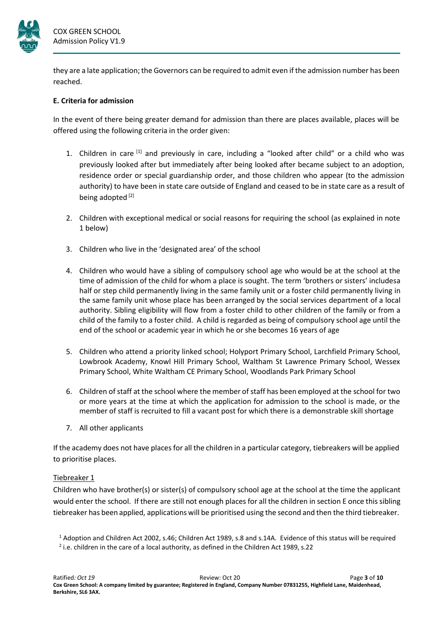

they are a late application; the Governors can be required to admit even if the admission number has been reached.

# **E. Criteria for admission**

In the event of there being greater demand for admission than there are places available, places will be offered using the following criteria in the order given:

- 1. Children in care  $[1]$  and previously in care, including a "looked after child" or a child who was previously looked after but immediately after being looked after became subject to an adoption, residence order or special guardianship order, and those children who appear (to the admission authority) to have been in state care outside of England and ceased to be in state care as a result of being adopted<sup>[2]</sup>
- 2. Children with exceptional medical or social reasons for requiring the school (as explained in note 1 below)
- 3. Children who live in the 'designated area' of the school
- 4. Children who would have a sibling of compulsory school age who would be at the school at the time of admission of the child for whom a place is sought. The term 'brothers or sisters' includesa half or step child permanently living in the same family unit or a foster child permanently living in the same family unit whose place has been arranged by the social services department of a local authority. Sibling eligibility will flow from a foster child to other children of the family or from a child of the family to a foster child. A child is regarded as being of compulsory school age until the end of the school or academic year in which he or she becomes 16 years of age
- 5. Children who attend a priority linked school; Holyport Primary School, Larchfield Primary School, Lowbrook Academy, Knowl Hill Primary School, Waltham St Lawrence Primary School, Wessex Primary School, White Waltham CE Primary School, Woodlands Park Primary School
- 6. Children of staff at the school where the member of staff has been employed at the school for two or more years at the time at which the application for admission to the school is made, or the member of staff is recruited to fill a vacant post for which there is a demonstrable skill shortage
- 7. All other applicants

If the academy does not have places for all the children in a particular category, tiebreakers will be applied to prioritise places.

#### Tiebreaker 1

Children who have brother(s) or sister(s) of compulsory school age at the school at the time the applicant would enter the school. If there are still not enough places for all the children in section E once this sibling tiebreaker has been applied, applications will be prioritised using the second and then the third tiebreaker.

<sup>1</sup> Adoption and Children Act 2002, s.46; Children Act 1989, s.8 and s.14A. Evidence of this status will be required

 $^2$  i.e. children in the care of a local authority, as defined in the Children Act 1989, s.22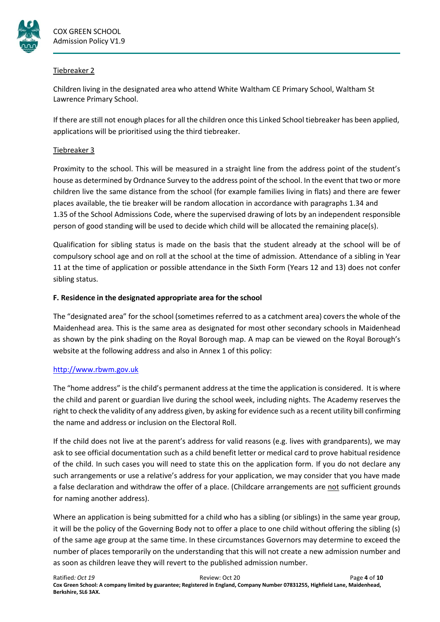

# Tiebreaker 2

Children living in the designated area who attend White Waltham CE Primary School, Waltham St Lawrence Primary School.

If there are still not enough places for all the children once this Linked School tiebreaker has been applied, applications will be prioritised using the third tiebreaker.

# Tiebreaker 3

Proximity to the school. This will be measured in a straight line from the address point of the student's house as determined by Ordnance Survey to the address point of the school. In the event that two or more children live the same distance from the school (for example families living in flats) and there are fewer places available, the tie breaker will be random allocation in accordance with paragraphs 1.34 and 1.35 of the School Admissions Code, where the supervised drawing of lots by an independent responsible person of good standing will be used to decide which child will be allocated the remaining place(s).

Qualification for sibling status is made on the basis that the student already at the school will be of compulsory school age and on roll at the school at the time of admission. Attendance of a sibling in Year 11 at the time of application or possible attendance in the Sixth Form (Years 12 and 13) does not confer sibling status.

# **F. Residence in the designated appropriate area for the school**

The "designated area" for the school (sometimes referred to as a catchment area) covers the whole of the Maidenhead area. This is the same area as designated for most other secondary schools in Maidenhead as shown by the pink shading on the Royal Borough map. A map can be viewed on the Royal Borough's website at the following address and also in Annex 1 of this policy:

# [http://www.rbwm.gov.uk](http://www.rbwm.gov.uk/)

The "home address" isthe child's permanent address at the time the application is considered. It is where the child and parent or guardian live during the school week, including nights. The Academy reserves the right to check the validity of any address given, by asking for evidence such as a recent utility bill confirming the name and address or inclusion on the Electoral Roll.

If the child does not live at the parent's address for valid reasons (e.g. lives with grandparents), we may ask to see official documentation such as a child benefit letter or medical card to prove habitual residence of the child. In such cases you will need to state this on the application form. If you do not declare any such arrangements or use a relative's address for your application, we may consider that you have made a false declaration and withdraw the offer of a place. (Childcare arrangements are not sufficient grounds for naming another address).

Where an application is being submitted for a child who has a sibling (or siblings) in the same year group, it will be the policy of the Governing Body not to offer a place to one child without offering the sibling (s) of the same age group at the same time. In these circumstances Governors may determine to exceed the number of places temporarily on the understanding that this will not create a new admission number and as soon as children leave they will revert to the published admission number.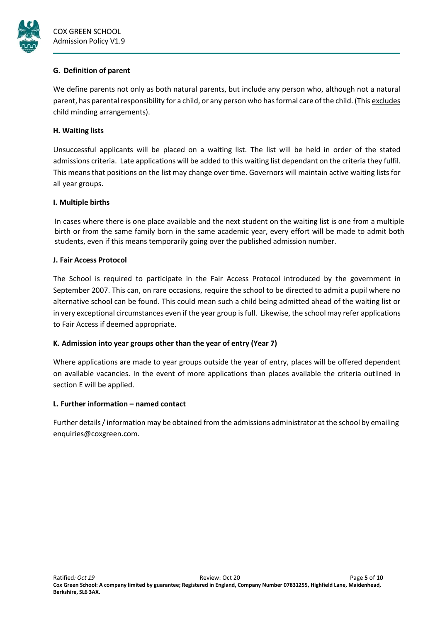

## **G. Definition of parent**

We define parents not only as both natural parents, but include any person who, although not a natural parent, has parental responsibility for a child, or any person who has formal care of the child. (This excludes child minding arrangements).

# **H. Waiting lists**

Unsuccessful applicants will be placed on a waiting list. The list will be held in order of the stated admissions criteria. Late applications will be added to this waiting list dependant on the criteria they fulfil. This means that positions on the list may change over time. Governors will maintain active waiting lists for all year groups.

# **I. Multiple births**

In cases where there is one place available and the next student on the waiting list is one from a multiple birth or from the same family born in the same academic year, every effort will be made to admit both students, even if this means temporarily going over the published admission number.

# **J. Fair Access Protocol**

The School is required to participate in the Fair Access Protocol introduced by the government in September 2007. This can, on rare occasions, require the school to be directed to admit a pupil where no alternative school can be found. This could mean such a child being admitted ahead of the waiting list or in very exceptional circumstances even if the year group is full. Likewise, the school may refer applications to Fair Access if deemed appropriate.

# **K. Admission into year groups other than the year of entry (Year 7)**

Where applications are made to year groups outside the year of entry, places will be offered dependent on available vacancies. In the event of more applications than places available the criteria outlined in section E will be applied.

#### **L. Further information – named contact**

Further details/information may be obtained from the admissions administrator at the school by emailing [enquiries@coxgreen.com.](mailto:enquiries@coxgreen.com)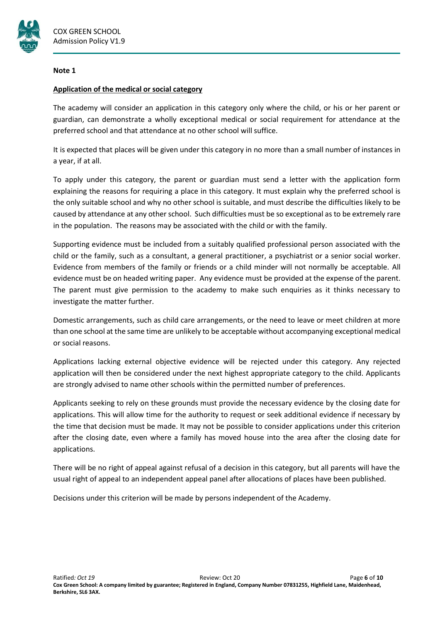

#### **Note 1**

## **Application of the medical or social category**

The academy will consider an application in this category only where the child, or his or her parent or guardian, can demonstrate a wholly exceptional medical or social requirement for attendance at the preferred school and that attendance at no other school will suffice.

It is expected that places will be given under this category in no more than a small number of instances in a year, if at all.

To apply under this category, the parent or guardian must send a letter with the application form explaining the reasons for requiring a place in this category. It must explain why the preferred school is the only suitable school and why no other school is suitable, and must describe the difficulties likely to be caused by attendance at any other school. Such difficulties must be so exceptional as to be extremely rare in the population. The reasons may be associated with the child or with the family.

Supporting evidence must be included from a suitably qualified professional person associated with the child or the family, such as a consultant, a general practitioner, a psychiatrist or a senior social worker. Evidence from members of the family or friends or a child minder will not normally be acceptable. All evidence must be on headed writing paper. Any evidence must be provided at the expense of the parent. The parent must give permission to the academy to make such enquiries as it thinks necessary to investigate the matter further.

Domestic arrangements, such as child care arrangements, or the need to leave or meet children at more than one school at the same time are unlikely to be acceptable without accompanying exceptional medical or social reasons.

Applications lacking external objective evidence will be rejected under this category. Any rejected application will then be considered under the next highest appropriate category to the child. Applicants are strongly advised to name other schools within the permitted number of preferences.

Applicants seeking to rely on these grounds must provide the necessary evidence by the closing date for applications. This will allow time for the authority to request or seek additional evidence if necessary by the time that decision must be made. It may not be possible to consider applications under this criterion after the closing date, even where a family has moved house into the area after the closing date for applications.

There will be no right of appeal against refusal of a decision in this category, but all parents will have the usual right of appeal to an independent appeal panel after allocations of places have been published.

Decisions under this criterion will be made by persons independent of the Academy.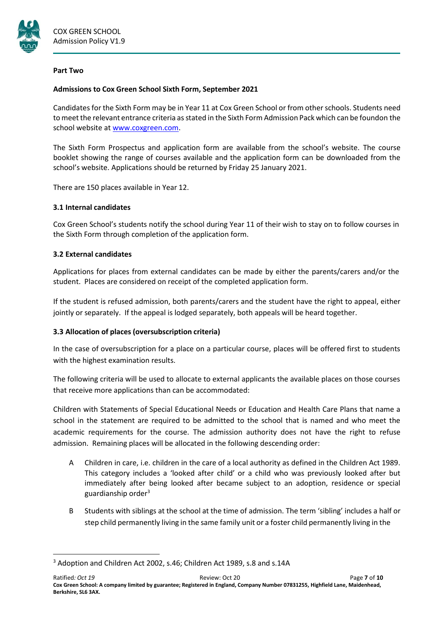

#### **Part Two**

# **Admissions to Cox Green School Sixth Form, September 2021**

Candidates for the Sixth Form may be in Year 11 at Cox Green School or from other schools. Students need tomeet the relevant entrance criteria asstated in the Sixth Form Admission Pack which can be foundon the school website at [www.coxgreen.com.](http://www.coxgreen.com/)

The Sixth Form Prospectus and application form are available from the school's website. The course booklet showing the range of courses available and the application form can be downloaded from the school's website. Applications should be returned by Friday 25 January 2021.

There are 150 places available in Year 12.

# **3.1 Internal candidates**

Cox Green School's students notify the school during Year 11 of their wish to stay on to follow courses in the Sixth Form through completion of the application form.

# **3.2 External candidates**

Applications for places from external candidates can be made by either the parents/carers and/or the student. Places are considered on receipt of the completed application form.

If the student is refused admission, both parents/carers and the student have the right to appeal, either jointly or separately. If the appeal is lodged separately, both appeals will be heard together.

# **3.3 Allocation of places (oversubscription criteria)**

In the case of oversubscription for a place on a particular course, places will be offered first to students with the highest examination results.

The following criteria will be used to allocate to external applicants the available places on those courses that receive more applications than can be accommodated:

Children with Statements of Special Educational Needs or Education and Health Care Plans that name a school in the statement are required to be admitted to the school that is named and who meet the academic requirements for the course. The admission authority does not have the right to refuse admission. Remaining places will be allocated in the following descending order:

- A Children in care, i.e. children in the care of a local authority as defined in the Children Act 1989. This category includes a 'looked after child' or a child who was previously looked after but immediately after being looked after became subject to an adoption, residence or special guardianship order<sup>3</sup>
- B Students with siblings at the school at the time of admission. The term 'sibling' includes a half or step child permanently living in the same family unit or a foster child permanently living in the

<sup>&</sup>lt;sup>3</sup> Adoption and Children Act 2002, s.46; Children Act 1989, s.8 and s.14A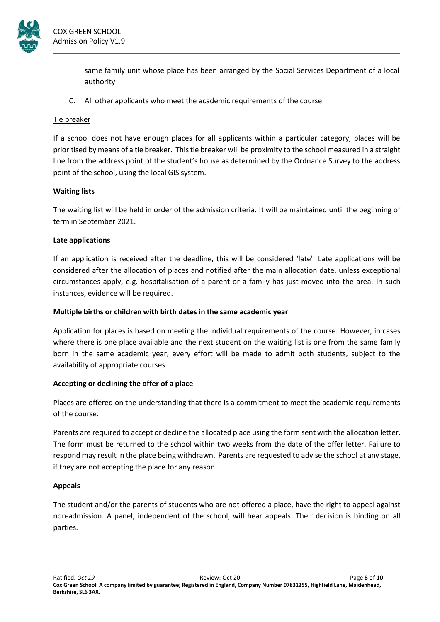

same family unit whose place has been arranged by the Social Services Department of a local authority

C. All other applicants who meet the academic requirements of the course

# Tie breaker

If a school does not have enough places for all applicants within a particular category, places will be prioritised by means of a tie breaker. Thistie breaker will be proximity to the school measured in a straight line from the address point of the student's house as determined by the Ordnance Survey to the address point of the school, using the local GIS system.

# **Waiting lists**

The waiting list will be held in order of the admission criteria. It will be maintained until the beginning of term in September 2021.

# **Late applications**

If an application is received after the deadline, this will be considered 'late'. Late applications will be considered after the allocation of places and notified after the main allocation date, unless exceptional circumstances apply, e.g. hospitalisation of a parent or a family has just moved into the area. In such instances, evidence will be required.

# **Multiple births or children with birth dates in the same academic year**

Application for places is based on meeting the individual requirements of the course. However, in cases where there is one place available and the next student on the waiting list is one from the same family born in the same academic year, every effort will be made to admit both students, subject to the availability of appropriate courses.

# **Accepting or declining the offer of a place**

Places are offered on the understanding that there is a commitment to meet the academic requirements of the course.

Parents are required to accept or decline the allocated place using the form sent with the allocation letter. The form must be returned to the school within two weeks from the date of the offer letter. Failure to respond may result in the place being withdrawn. Parents are requested to advise the school at any stage, if they are not accepting the place for any reason.

# **Appeals**

The student and/or the parents of students who are not offered a place, have the right to appeal against non-admission. A panel, independent of the school, will hear appeals. Their decision is binding on all parties.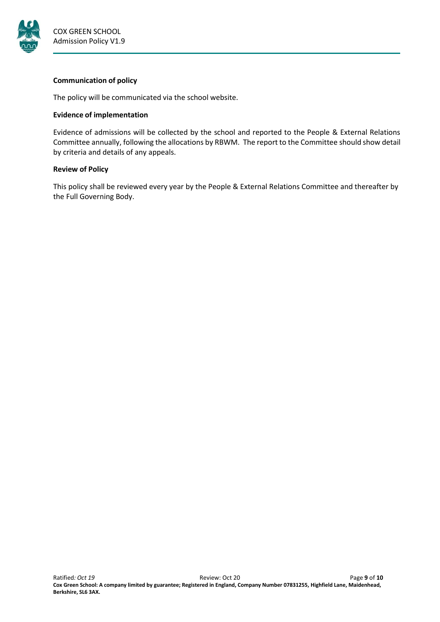

# **Communication of policy**

The policy will be communicated via the school website.

# **Evidence of implementation**

Evidence of admissions will be collected by the school and reported to the People & External Relations Committee annually, following the allocations by RBWM. The report to the Committee should show detail by criteria and details of any appeals.

# **Review of Policy**

This policy shall be reviewed every year by the People & External Relations Committee and thereafter by the Full Governing Body.